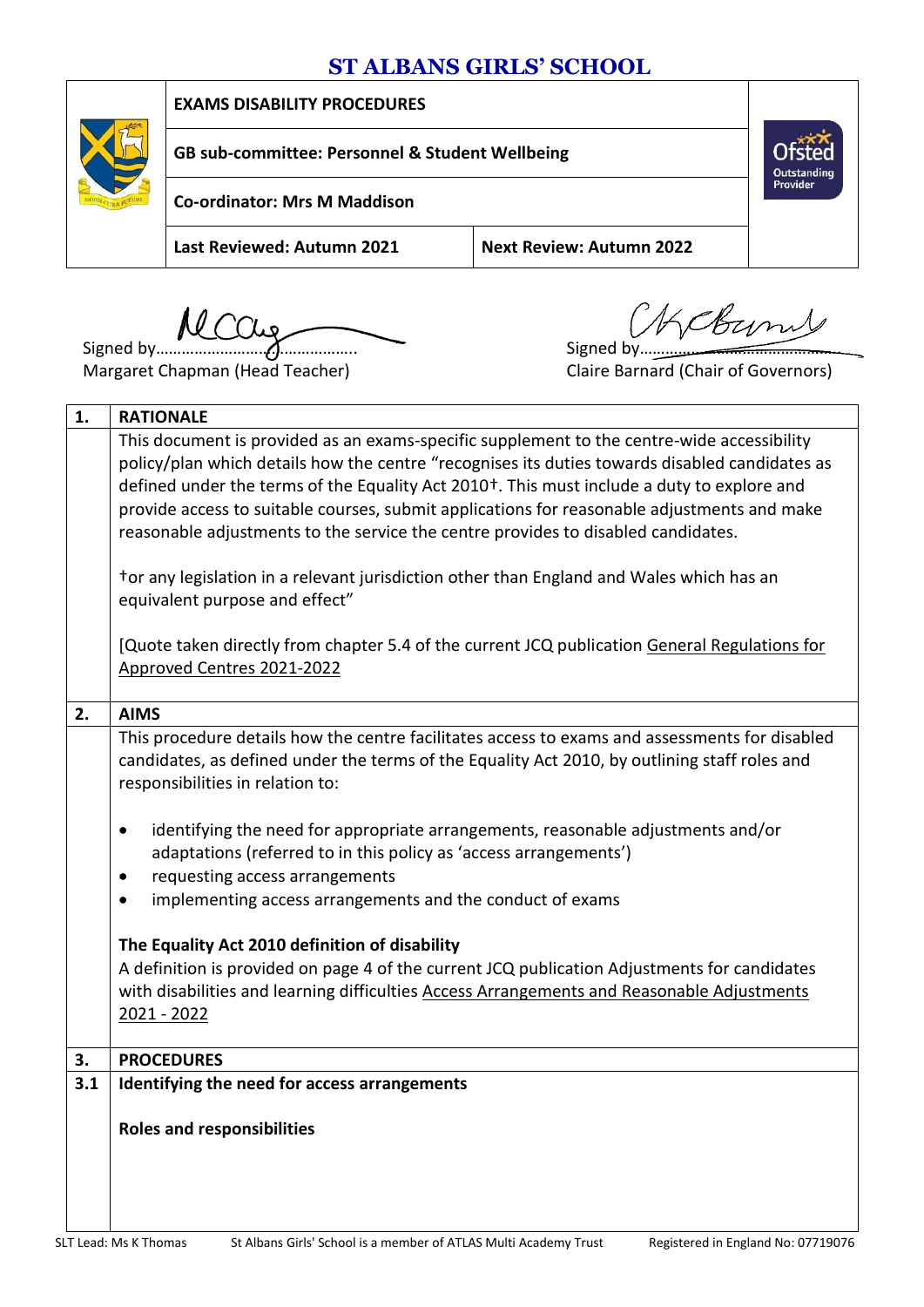# **ST ALBANS GIRLS' SCHOOL**



**EXAMS DISABILITY PROCEDURES**

**GB sub-committee: Personnel & Student Wellbeing**

**Co-ordinator: Mrs M Maddison**

**Last Reviewed: Autumn 2021 Next Review: Autumn 2022**

Signed by……………………………………….. Signed by………………………………………..

Margaret Chapman (Head Teacher)

**Outstanding**<br>Provider

| 1.  | <b>RATIONALE</b>                                                                                                                                                                                                                                                                                        |  |  |  |  |  |  |
|-----|---------------------------------------------------------------------------------------------------------------------------------------------------------------------------------------------------------------------------------------------------------------------------------------------------------|--|--|--|--|--|--|
|     | This document is provided as an exams-specific supplement to the centre-wide accessibility<br>policy/plan which details how the centre "recognises its duties towards disabled candidates as<br>defined under the terms of the Equality Act 2010 <sup>+</sup> . This must include a duty to explore and |  |  |  |  |  |  |
|     | provide access to suitable courses, submit applications for reasonable adjustments and make<br>reasonable adjustments to the service the centre provides to disabled candidates.                                                                                                                        |  |  |  |  |  |  |
|     | tor any legislation in a relevant jurisdiction other than England and Wales which has an<br>equivalent purpose and effect"                                                                                                                                                                              |  |  |  |  |  |  |
|     | [Quote taken directly from chapter 5.4 of the current JCQ publication General Regulations for<br>Approved Centres 2021-2022                                                                                                                                                                             |  |  |  |  |  |  |
| 2.  | <b>AIMS</b>                                                                                                                                                                                                                                                                                             |  |  |  |  |  |  |
|     | This procedure details how the centre facilitates access to exams and assessments for disabled<br>candidates, as defined under the terms of the Equality Act 2010, by outlining staff roles and<br>responsibilities in relation to:                                                                     |  |  |  |  |  |  |
|     | identifying the need for appropriate arrangements, reasonable adjustments and/or<br>$\bullet$<br>adaptations (referred to in this policy as 'access arrangements')                                                                                                                                      |  |  |  |  |  |  |
|     | requesting access arrangements<br>$\bullet$                                                                                                                                                                                                                                                             |  |  |  |  |  |  |
|     | implementing access arrangements and the conduct of exams<br>$\bullet$                                                                                                                                                                                                                                  |  |  |  |  |  |  |
|     | The Equality Act 2010 definition of disability                                                                                                                                                                                                                                                          |  |  |  |  |  |  |
|     | A definition is provided on page 4 of the current JCQ publication Adjustments for candidates                                                                                                                                                                                                            |  |  |  |  |  |  |
|     | with disabilities and learning difficulties Access Arrangements and Reasonable Adjustments                                                                                                                                                                                                              |  |  |  |  |  |  |
|     | 2021 - 2022                                                                                                                                                                                                                                                                                             |  |  |  |  |  |  |
| 3.  | <b>PROCEDURES</b>                                                                                                                                                                                                                                                                                       |  |  |  |  |  |  |
| 3.1 | Identifying the need for access arrangements                                                                                                                                                                                                                                                            |  |  |  |  |  |  |
|     | <b>Roles and responsibilities</b>                                                                                                                                                                                                                                                                       |  |  |  |  |  |  |
|     |                                                                                                                                                                                                                                                                                                         |  |  |  |  |  |  |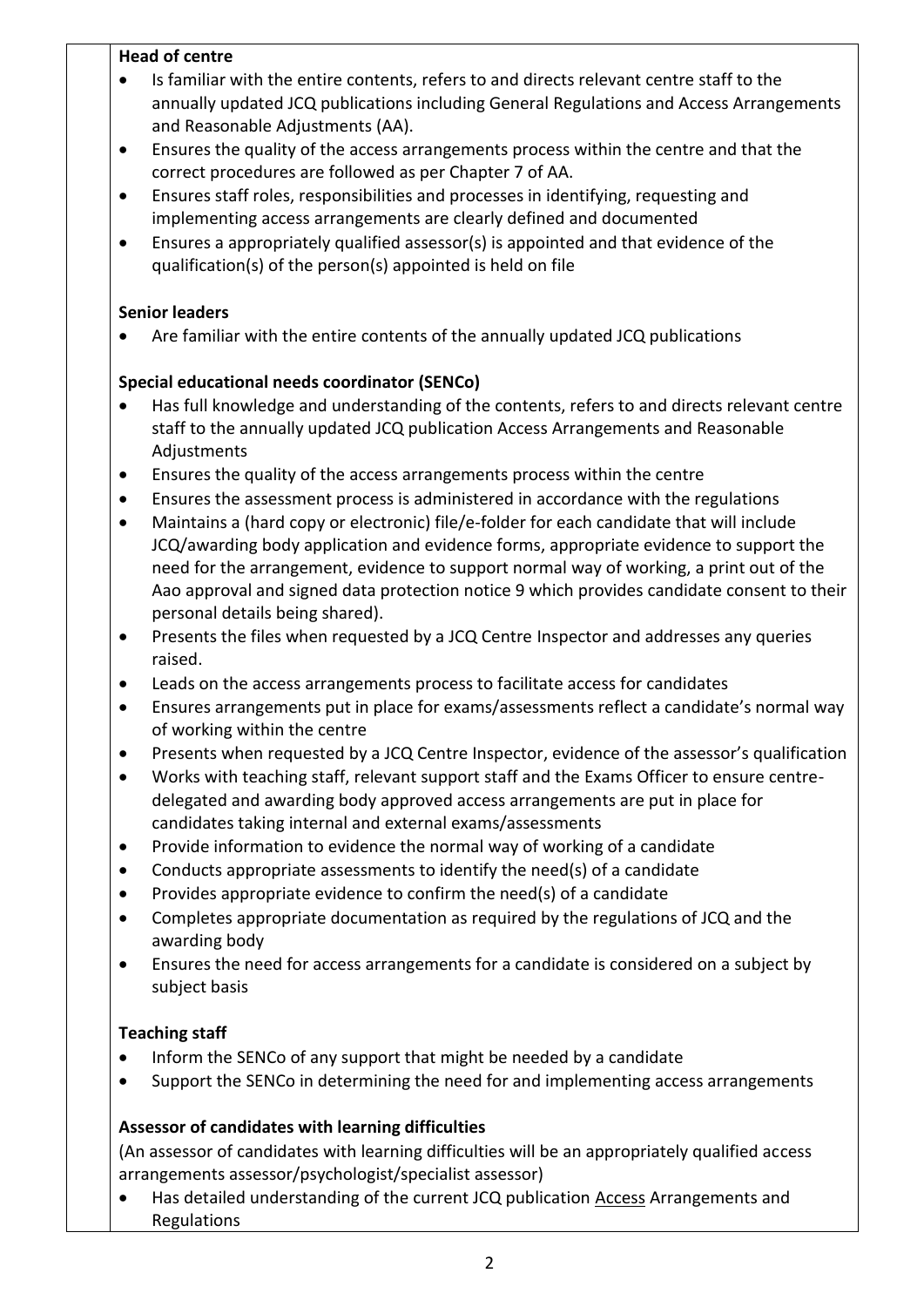## **Head of centre**

- Is familiar with the entire contents, refers to and directs relevant centre staff to the annually updated JCQ publications including General Regulations and Access Arrangements and Reasonable Adjustments (AA).
- Ensures the quality of the access arrangements process within the centre and that the correct procedures are followed as per Chapter 7 of AA.
- Ensures staff roles, responsibilities and processes in identifying, requesting and implementing access arrangements are clearly defined and documented
- Ensures a appropriately qualified assessor(s) is appointed and that evidence of the qualification(s) of the person(s) appointed is held on file

#### **Senior leaders**

Are familiar with the entire contents of the annually updated JCQ publications

## **Special educational needs coordinator (SENCo)**

- Has full knowledge and understanding of the contents, refers to and directs relevant centre staff to the annually updated JCQ publication [Access](http://www.jcq.org.uk/exams-office/access-arrangements-and-special-consideration/regulations-and-guidance) Arrangements and Reasonable Adjustments
- Ensures the quality of the access arrangements process within the centre
- Ensures the assessment process is administered in accordance with the regulations
- Maintains a (hard copy or electronic) file/e-folder for each candidate that will include JCQ/awarding body application and evidence forms, appropriate evidence to support the need for the arrangement, evidence to support normal way of working, a print out of the Aao approval and signed data protection notice 9 which provides candidate consent to their personal details being shared).
- Presents the files when requested by a JCQ Centre Inspector and addresses any queries raised.
- Leads on the access arrangements process to facilitate access for candidates
- Ensures arrangements put in place for exams/assessments reflect a candidate's normal way of working within the centre
- Presents when requested by a JCQ Centre Inspector, evidence of the assessor's qualification
- Works with teaching staff, relevant support staff and the Exams Officer to ensure centredelegated and awarding body approved access arrangements are put in place for candidates taking internal and external exams/assessments
- Provide information to evidence the normal way of working of a candidate
- Conducts appropriate assessments to identify the need(s) of a candidate
- $\bullet$  Provides appropriate evidence to confirm the need(s) of a candidate
- Completes appropriate documentation as required by the regulations of JCQ and the awarding body
- Ensures the need for access arrangements for a candidate is considered on a subject by subject basis

#### **Teaching staff**

- Inform the SENCo of any support that might be needed by a candidate
- Support the SENCo in determining the need for and implementing access arrangements

## **Assessor of candidates with learning difficulties**

 (An assessor of candidates with learning difficulties will be an appropriately qualified access arrangements assessor/psychologist/specialist assessor)

• Has detailed understanding of the current JCQ publication [Access](http://www.jcq.org.uk/exams-office/access-arrangements-and-special-consideration/regulations-and-guidance) Arrangements and Regulations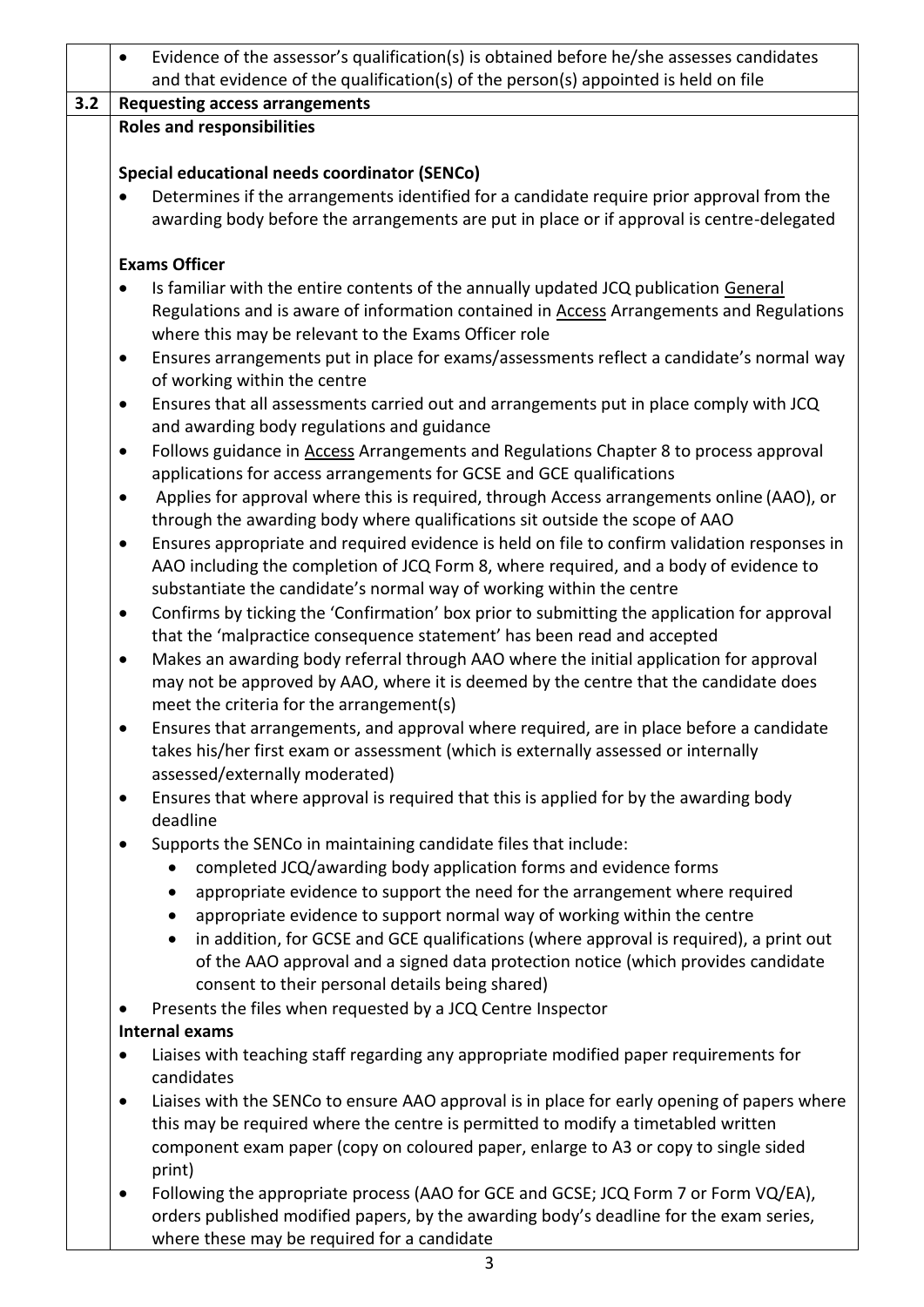|     | Evidence of the assessor's qualification(s) is obtained before he/she assesses candidates                                                                                                   |  |  |  |  |  |
|-----|---------------------------------------------------------------------------------------------------------------------------------------------------------------------------------------------|--|--|--|--|--|
|     | and that evidence of the qualification(s) of the person(s) appointed is held on file                                                                                                        |  |  |  |  |  |
| 3.2 | <b>Requesting access arrangements</b>                                                                                                                                                       |  |  |  |  |  |
|     | <b>Roles and responsibilities</b>                                                                                                                                                           |  |  |  |  |  |
|     |                                                                                                                                                                                             |  |  |  |  |  |
|     | Special educational needs coordinator (SENCo)<br>Determines if the arrangements identified for a candidate require prior approval from the                                                  |  |  |  |  |  |
|     | awarding body before the arrangements are put in place or if approval is centre-delegated                                                                                                   |  |  |  |  |  |
|     | <b>Exams Officer</b>                                                                                                                                                                        |  |  |  |  |  |
|     | Is familiar with the entire contents of the annually updated JCQ publication General<br>$\bullet$                                                                                           |  |  |  |  |  |
|     | Regulations and is aware of information contained in <b>Access</b> Arrangements and Regulations                                                                                             |  |  |  |  |  |
|     | where this may be relevant to the Exams Officer role                                                                                                                                        |  |  |  |  |  |
|     | Ensures arrangements put in place for exams/assessments reflect a candidate's normal way<br>$\bullet$                                                                                       |  |  |  |  |  |
|     | of working within the centre                                                                                                                                                                |  |  |  |  |  |
|     | Ensures that all assessments carried out and arrangements put in place comply with JCQ<br>$\bullet$                                                                                         |  |  |  |  |  |
|     | and awarding body regulations and guidance                                                                                                                                                  |  |  |  |  |  |
|     | Follows guidance in Access Arrangements and Regulations Chapter 8 to process approval<br>$\bullet$<br>applications for access arrangements for GCSE and GCE qualifications                  |  |  |  |  |  |
|     | Applies for approval where this is required, through Access arrangements online (AAO), or<br>$\bullet$                                                                                      |  |  |  |  |  |
|     | through the awarding body where qualifications sit outside the scope of AAO                                                                                                                 |  |  |  |  |  |
|     | Ensures appropriate and required evidence is held on file to confirm validation responses in<br>$\bullet$                                                                                   |  |  |  |  |  |
|     | AAO including the completion of JCQ Form 8, where required, and a body of evidence to                                                                                                       |  |  |  |  |  |
|     | substantiate the candidate's normal way of working within the centre                                                                                                                        |  |  |  |  |  |
|     | Confirms by ticking the 'Confirmation' box prior to submitting the application for approval<br>$\bullet$                                                                                    |  |  |  |  |  |
|     | that the 'malpractice consequence statement' has been read and accepted                                                                                                                     |  |  |  |  |  |
|     | Makes an awarding body referral through AAO where the initial application for approval<br>$\bullet$<br>may not be approved by AAO, where it is deemed by the centre that the candidate does |  |  |  |  |  |
|     | meet the criteria for the arrangement(s)                                                                                                                                                    |  |  |  |  |  |
|     | Ensures that arrangements, and approval where required, are in place before a candidate<br>$\bullet$                                                                                        |  |  |  |  |  |
|     | takes his/her first exam or assessment (which is externally assessed or internally                                                                                                          |  |  |  |  |  |
|     | assessed/externally moderated)                                                                                                                                                              |  |  |  |  |  |
|     | Ensures that where approval is required that this is applied for by the awarding body<br>$\bullet$<br>deadline                                                                              |  |  |  |  |  |
|     | Supports the SENCo in maintaining candidate files that include:<br>$\bullet$                                                                                                                |  |  |  |  |  |
|     | completed JCQ/awarding body application forms and evidence forms                                                                                                                            |  |  |  |  |  |
|     | appropriate evidence to support the need for the arrangement where required<br>$\bullet$                                                                                                    |  |  |  |  |  |
|     | appropriate evidence to support normal way of working within the centre<br>$\bullet$                                                                                                        |  |  |  |  |  |
|     | in addition, for GCSE and GCE qualifications (where approval is required), a print out<br>$\bullet$                                                                                         |  |  |  |  |  |
|     | of the AAO approval and a signed data protection notice (which provides candidate                                                                                                           |  |  |  |  |  |
|     | consent to their personal details being shared)                                                                                                                                             |  |  |  |  |  |
|     | Presents the files when requested by a JCQ Centre Inspector                                                                                                                                 |  |  |  |  |  |
|     | <b>Internal exams</b>                                                                                                                                                                       |  |  |  |  |  |
|     | Liaises with teaching staff regarding any appropriate modified paper requirements for<br>$\bullet$<br>candidates                                                                            |  |  |  |  |  |
|     | Liaises with the SENCo to ensure AAO approval is in place for early opening of papers where<br>$\bullet$                                                                                    |  |  |  |  |  |
|     | this may be required where the centre is permitted to modify a timetabled written                                                                                                           |  |  |  |  |  |
|     | component exam paper (copy on coloured paper, enlarge to A3 or copy to single sided                                                                                                         |  |  |  |  |  |
|     | print)                                                                                                                                                                                      |  |  |  |  |  |
|     | Following the appropriate process (AAO for GCE and GCSE; JCQ Form 7 or Form VQ/EA),<br>$\bullet$                                                                                            |  |  |  |  |  |

orders published modified papers, by the awarding body's deadline for the exam series, where these may be required for a candidate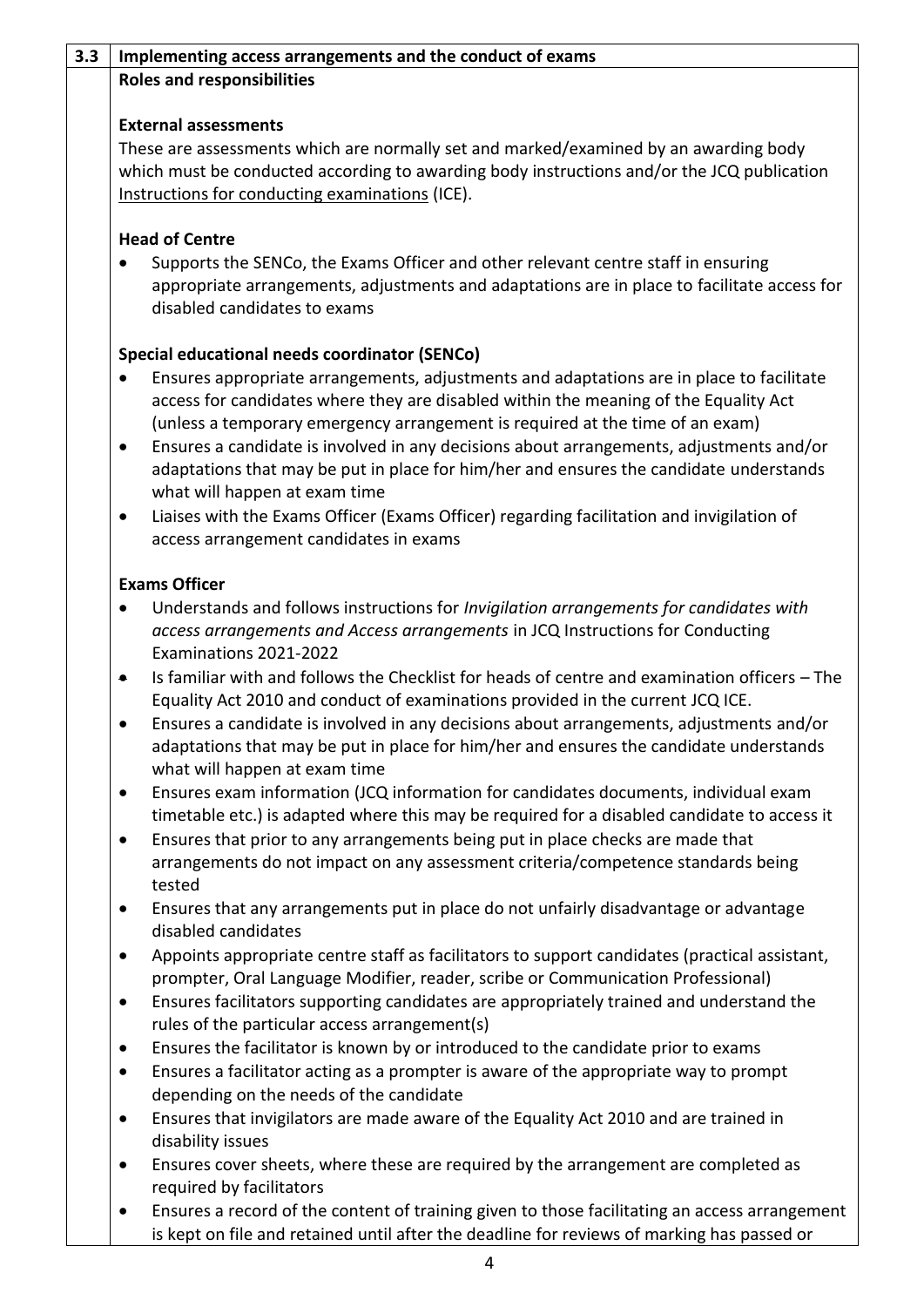### **3.3 Implementing access arrangements and the conduct of exams Roles and responsibilities**

## **External assessments**

These are assessments which are normally set and marked/examined by an awarding body which must be conducted according to awarding body instructions and/or the JCQ publication [Instructions for conducting examinations](http://www.jcq.org.uk/exams-office/ice---instructions-for-conducting-examinations) (ICE).

## **Head of Centre**

 Supports the SENCo, the Exams Officer and other relevant centre staff in ensuring appropriate arrangements, adjustments and adaptations are in place to facilitate access for disabled candidates to exams

## **Special educational needs coordinator (SENCo)**

- Ensures appropriate arrangements, adjustments and adaptations are in place to facilitate access for candidates where they are disabled within the meaning of the Equality Act (unless a temporary emergency arrangement is required at the time of an exam)
- Ensures a candidate is involved in any decisions about arrangements, adjustments and/or adaptations that may be put in place for him/her and ensures the candidate understands what will happen at exam time
- Liaises with the Exams Officer (Exams Officer) regarding facilitation and invigilation of access arrangement candidates in exams

## **Exams Officer**

- Understands and follows instructions for *Invigilation arrangements for candidates with access arrangements and Access arrangements* in JCQ Instructions for Conducting Examinations 2021-2022
- Is familiar with and follows the Checklist for heads of centre and examination officers The Equality Act 2010 and conduct of examinations provided in the current JCQ [ICE.](http://www.jcq.org.uk/exams-office/ice---instructions-for-conducting-examinations)
- Ensures a candidate is involved in any decisions about arrangements, adjustments and/or adaptations that may be put in place for him/her and ensures the candidate understands what will happen at exam time
- Ensures exam information (JCQ information for candidates documents, individual exam timetable etc.) is adapted where this may be required for a disabled candidate to access it
- Ensures that prior to any arrangements being put in place checks are made that arrangements do not impact on any assessment criteria/competence standards being tested
- Ensures that any arrangements put in place do not unfairly disadvantage or advantage disabled candidates
- Appoints appropriate centre staff as facilitators to support candidates (practical assistant, prompter, Oral Language Modifier, reader, scribe or Communication Professional)
- Ensures facilitators supporting candidates are appropriately trained and understand the rules of the particular access arrangement(s)
- Ensures the facilitator is known by or introduced to the candidate prior to exams
- Ensures a facilitator acting as a prompter is aware of the appropriate way to prompt depending on the needs of the candidate
- Ensures that invigilators are made aware of the Equality Act 2010 and are trained in disability issues
- Ensures cover sheets, where these are required by the arrangement are completed as required by facilitators
- Ensures a record of the content of training given to those facilitating an access arrangement is kept on file and retained until after the deadline for reviews of marking has passed or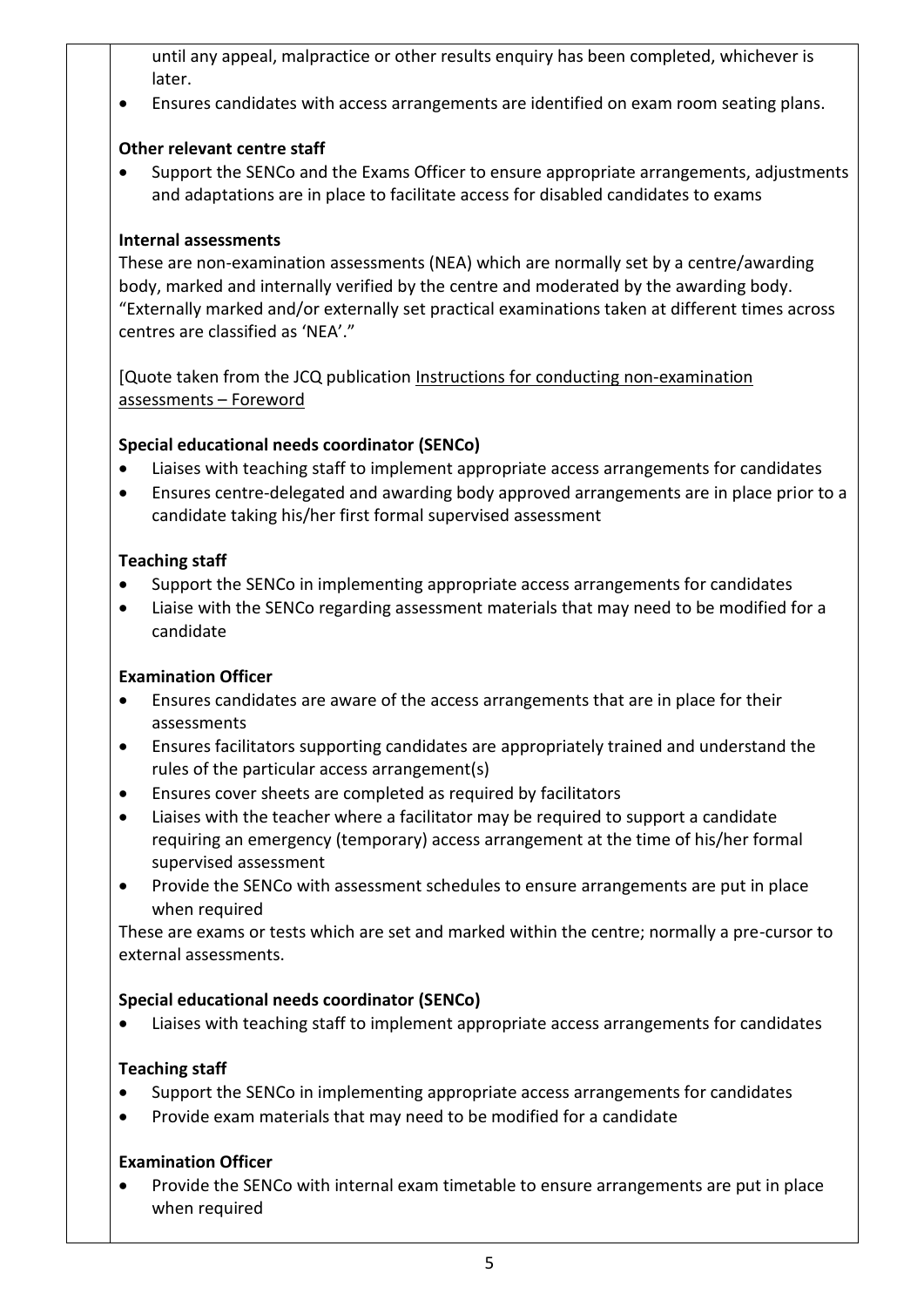until any appeal, malpractice or other results enquiry has been completed, whichever is later.

Ensures candidates with access arrangements are identified on exam room seating plans.

## **Other relevant centre staff**

 Support the SENCo and the Exams Officer to ensure appropriate arrangements, adjustments and adaptations are in place to facilitate access for disabled candidates to exams

#### **Internal assessments**

These are non-examination assessments (NEA) which are normally set by a centre/awarding body, marked and internally verified by the centre and moderated by the awarding body. "Externally marked and/or externally set practical examinations taken at different times across centres are classified as 'NEA'."

[Quote taken from the JCQ publication [Instructions for conducting](http://www.jcq.org.uk/exams-office/non-examination-assessments) non-examination [assessments](http://www.jcq.org.uk/exams-office/non-examination-assessments) – Foreword

#### **Special educational needs coordinator (SENCo)**

- Liaises with teaching staff to implement appropriate access arrangements for candidates
- Ensures centre-delegated and awarding body approved arrangements are in place prior to a candidate taking his/her first formal supervised assessment

## **Teaching staff**

- Support the SENCo in implementing appropriate access arrangements for candidates
- Liaise with the SENCo regarding assessment materials that may need to be modified for a candidate

#### **Examination Officer**

- Ensures candidates are aware of the access arrangements that are in place for their assessments
- Ensures facilitators supporting candidates are appropriately trained and understand the rules of the particular access arrangement(s)
- Ensures cover sheets are completed as required by facilitators
- Liaises with the teacher where a facilitator may be required to support a candidate requiring an emergency (temporary) access arrangement at the time of his/her formal supervised assessment
- Provide the SENCo with assessment schedules to ensure arrangements are put in place when required

These are exams or tests which are set and marked within the centre; normally a pre-cursor to external assessments.

#### **Special educational needs coordinator (SENCo)**

Liaises with teaching staff to implement appropriate access arrangements for candidates

#### **Teaching staff**

- Support the SENCo in implementing appropriate access arrangements for candidates
- Provide exam materials that may need to be modified for a candidate

## **Examination Officer**

 Provide the SENCo with internal exam timetable to ensure arrangements are put in place when required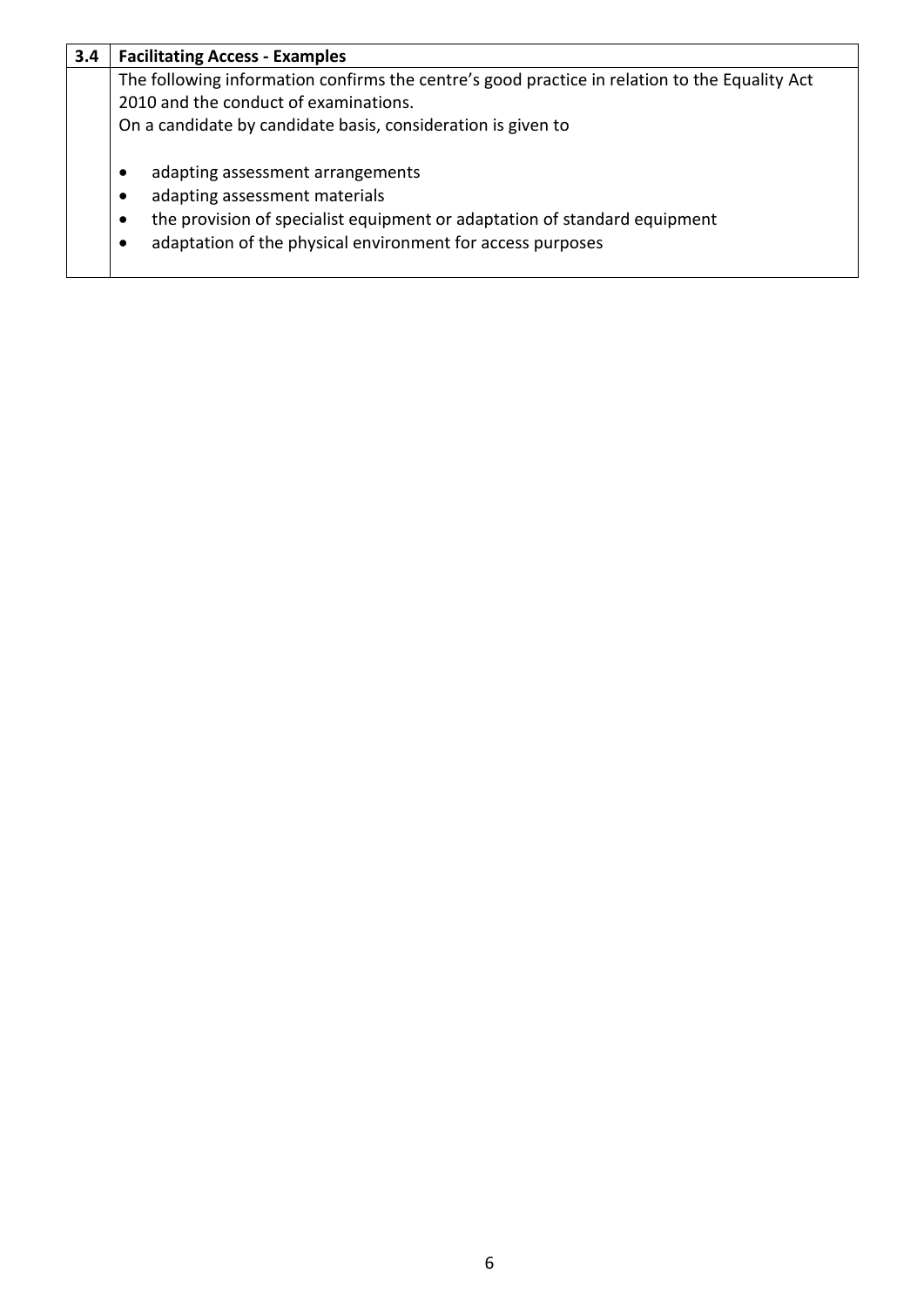| 3.4 | <b>Facilitating Access - Examples</b>                                                                                                                                                                                                                    |  |  |  |  |
|-----|----------------------------------------------------------------------------------------------------------------------------------------------------------------------------------------------------------------------------------------------------------|--|--|--|--|
|     | The following information confirms the centre's good practice in relation to the Equality Act                                                                                                                                                            |  |  |  |  |
|     | 2010 and the conduct of examinations.                                                                                                                                                                                                                    |  |  |  |  |
|     | On a candidate by candidate basis, consideration is given to                                                                                                                                                                                             |  |  |  |  |
|     | adapting assessment arrangements<br>$\bullet$<br>adapting assessment materials<br>$\bullet$<br>the provision of specialist equipment or adaptation of standard equipment<br>$\bullet$<br>adaptation of the physical environment for access purposes<br>٠ |  |  |  |  |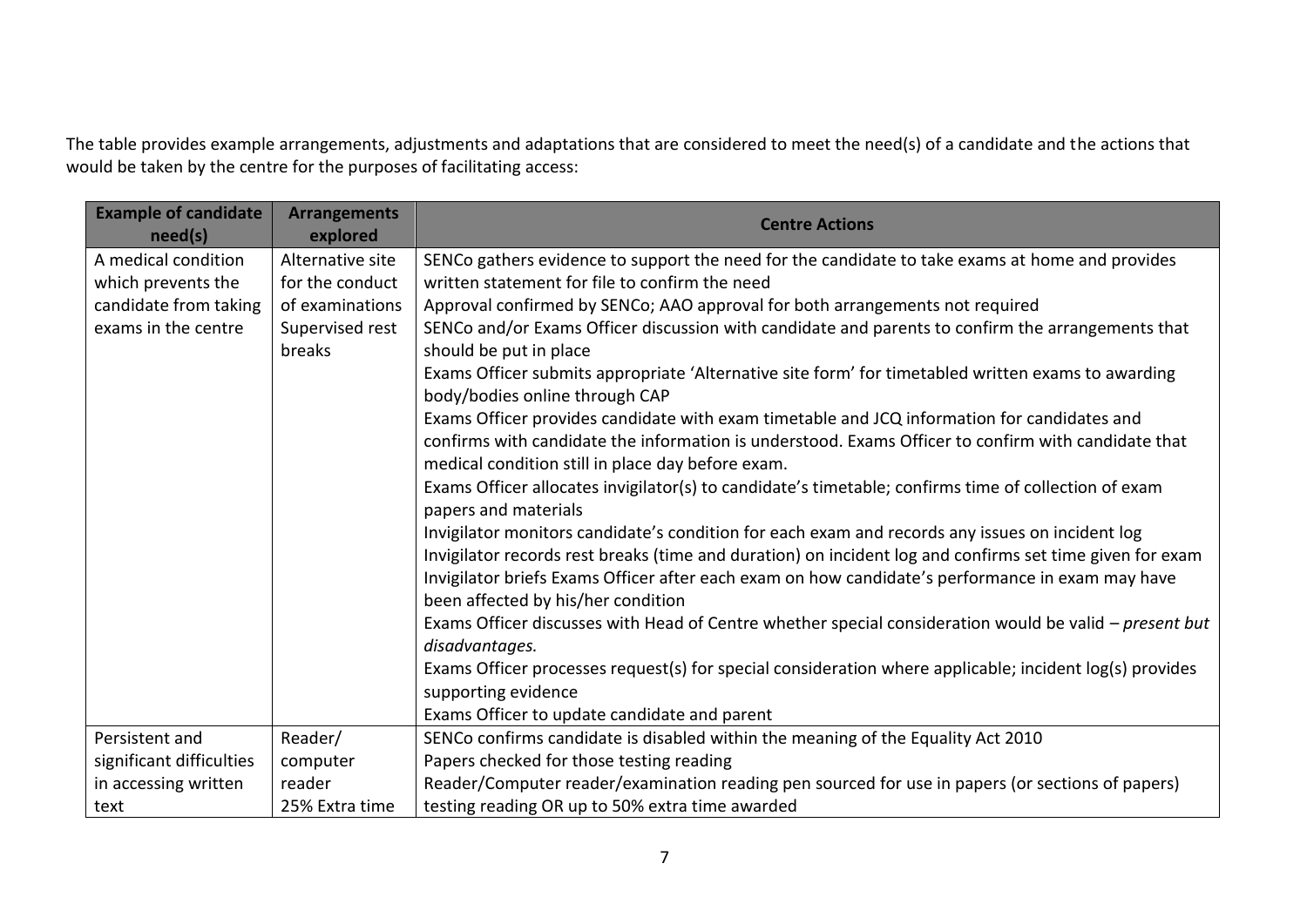The table provides example arrangements, adjustments and adaptations that are considered to meet the need(s) of a candidate and the actions that would be taken by the centre for the purposes of facilitating access:

| <b>Example of candidate</b><br>need(s) | <b>Arrangements</b><br>explored | <b>Centre Actions</b>                                                                                                                                                                                                                                   |
|----------------------------------------|---------------------------------|---------------------------------------------------------------------------------------------------------------------------------------------------------------------------------------------------------------------------------------------------------|
| A medical condition                    | Alternative site                | SENCo gathers evidence to support the need for the candidate to take exams at home and provides                                                                                                                                                         |
| which prevents the                     | for the conduct                 | written statement for file to confirm the need                                                                                                                                                                                                          |
| candidate from taking                  | of examinations                 | Approval confirmed by SENCo; AAO approval for both arrangements not required                                                                                                                                                                            |
| exams in the centre                    | Supervised rest<br>breaks       | SENCo and/or Exams Officer discussion with candidate and parents to confirm the arrangements that<br>should be put in place                                                                                                                             |
|                                        |                                 | Exams Officer submits appropriate 'Alternative site form' for timetabled written exams to awarding<br>body/bodies online through CAP                                                                                                                    |
|                                        |                                 | Exams Officer provides candidate with exam timetable and JCQ information for candidates and<br>confirms with candidate the information is understood. Exams Officer to confirm with candidate that<br>medical condition still in place day before exam. |
|                                        |                                 | Exams Officer allocates invigilator(s) to candidate's timetable; confirms time of collection of exam<br>papers and materials                                                                                                                            |
|                                        |                                 | Invigilator monitors candidate's condition for each exam and records any issues on incident log                                                                                                                                                         |
|                                        |                                 | Invigilator records rest breaks (time and duration) on incident log and confirms set time given for exam                                                                                                                                                |
|                                        |                                 | Invigilator briefs Exams Officer after each exam on how candidate's performance in exam may have<br>been affected by his/her condition                                                                                                                  |
|                                        |                                 | Exams Officer discusses with Head of Centre whether special consideration would be valid $-p$ resent but                                                                                                                                                |
|                                        |                                 | disadvantages.                                                                                                                                                                                                                                          |
|                                        |                                 | Exams Officer processes request(s) for special consideration where applicable; incident log(s) provides                                                                                                                                                 |
|                                        |                                 | supporting evidence                                                                                                                                                                                                                                     |
|                                        |                                 | Exams Officer to update candidate and parent                                                                                                                                                                                                            |
| Persistent and                         | Reader/                         | SENCo confirms candidate is disabled within the meaning of the Equality Act 2010                                                                                                                                                                        |
| significant difficulties               | computer                        | Papers checked for those testing reading                                                                                                                                                                                                                |
| in accessing written                   | reader                          | Reader/Computer reader/examination reading pen sourced for use in papers (or sections of papers)                                                                                                                                                        |
| text                                   | 25% Extra time                  | testing reading OR up to 50% extra time awarded                                                                                                                                                                                                         |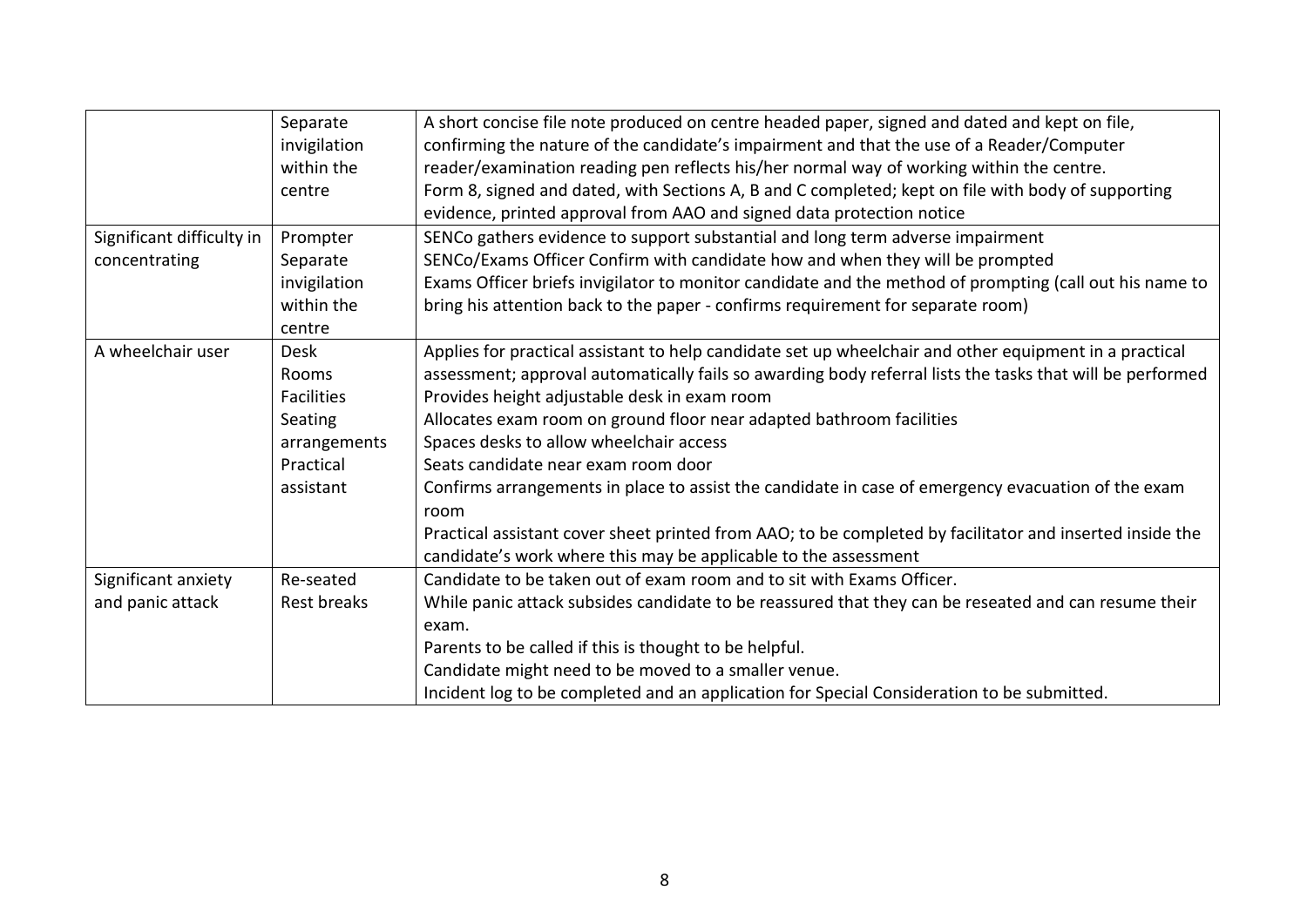|                           | Separate          | A short concise file note produced on centre headed paper, signed and dated and kept on file,             |
|---------------------------|-------------------|-----------------------------------------------------------------------------------------------------------|
|                           | invigilation      | confirming the nature of the candidate's impairment and that the use of a Reader/Computer                 |
|                           | within the        | reader/examination reading pen reflects his/her normal way of working within the centre.                  |
|                           | centre            | Form 8, signed and dated, with Sections A, B and C completed; kept on file with body of supporting        |
|                           |                   | evidence, printed approval from AAO and signed data protection notice                                     |
| Significant difficulty in | Prompter          | SENCo gathers evidence to support substantial and long term adverse impairment                            |
| concentrating             | Separate          | SENCo/Exams Officer Confirm with candidate how and when they will be prompted                             |
|                           | invigilation      | Exams Officer briefs invigilator to monitor candidate and the method of prompting (call out his name to   |
|                           | within the        | bring his attention back to the paper - confirms requirement for separate room)                           |
|                           | centre            |                                                                                                           |
| A wheelchair user         | <b>Desk</b>       | Applies for practical assistant to help candidate set up wheelchair and other equipment in a practical    |
|                           | Rooms             | assessment; approval automatically fails so awarding body referral lists the tasks that will be performed |
|                           | <b>Facilities</b> | Provides height adjustable desk in exam room                                                              |
|                           | Seating           | Allocates exam room on ground floor near adapted bathroom facilities                                      |
|                           | arrangements      | Spaces desks to allow wheelchair access                                                                   |
|                           | Practical         | Seats candidate near exam room door                                                                       |
|                           | assistant         | Confirms arrangements in place to assist the candidate in case of emergency evacuation of the exam        |
|                           |                   | room                                                                                                      |
|                           |                   | Practical assistant cover sheet printed from AAO; to be completed by facilitator and inserted inside the  |
|                           |                   | candidate's work where this may be applicable to the assessment                                           |
| Significant anxiety       | Re-seated         | Candidate to be taken out of exam room and to sit with Exams Officer.                                     |
| and panic attack          | Rest breaks       | While panic attack subsides candidate to be reassured that they can be reseated and can resume their      |
|                           |                   | exam.                                                                                                     |
|                           |                   | Parents to be called if this is thought to be helpful.                                                    |
|                           |                   | Candidate might need to be moved to a smaller venue.                                                      |
|                           |                   | Incident log to be completed and an application for Special Consideration to be submitted.                |